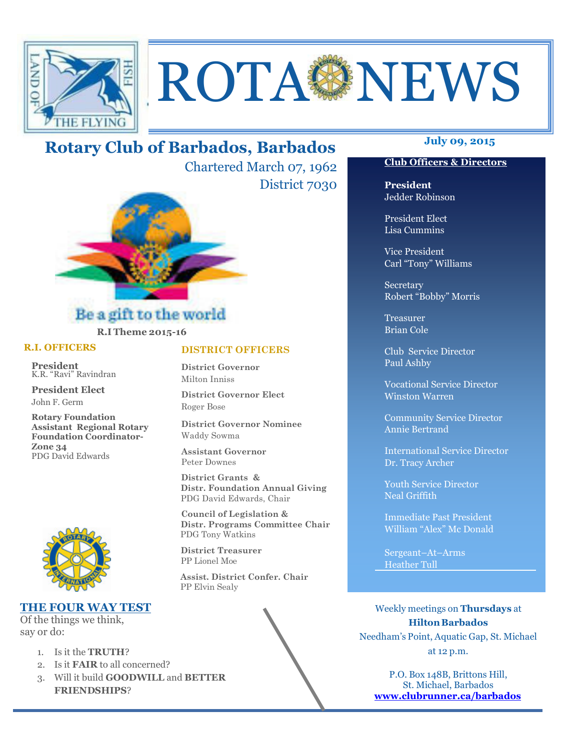

# ROTAGNEWS

# **July 09, 2015 Rotary Club of Barbados, Barbados**

Chartered March 07, 1962 District 7030



## Be a gift to the world **R.I Theme 2015-16**

#### **R.I. OFFICERS**

**President** K.R. "Ravi" Ravindran

**President Elect** John F. Germ

**Rotary Foundation Assistant Regional Rotary Foundation Coordinator-Zone 34**  PDG David Edwards



#### **THE FOUR WAY TEST**

Of the things we think, say or do:

- 1. Is it the **TRUTH**?
- 2. Is it **FAIR** to all concerned?
- 3. Will it build **GOODWILL** and **BETTER FRIENDSHIPS**?

#### **DISTRICT OFFICERS**

**District Governor** Milton Inniss

**District Governor Elect** Roger Bose

**District Governor Nominee**  Waddy Sowma

**Assistant Governor**  Peter Downes

 **District Grants & Distr. Foundation Annual Giving** PDG David Edwards, Chair

 **Council of Legislation & Distr. Programs Committee Chair** PDG Tony Watkins

 **District Treasurer**  PP Lionel Moe

 **Assist. District Confer. Chair**  PP Elvin Sealy

#### **Club Officers & Directors**

**President** Jedder Robinson

President Elect Lisa Cummins

Vice President Carl "Tony" Williams

Secretary Robert "Bobby" Morris

Treasurer Brian Cole

Club Service Director Paul Ashby

Vocational Service Director Winston Warren

Community Service Director Annie Bertrand

International Service Director Dr. Tracy Archer

Youth Service Director Neal Griffith

Immediate Past President William "Alex" Mc Donald

Sergeant–At–Arms Heather Tull

Weekly meetings on **Thursdays** at **Hilton Barbados** Needham's Point, Aquatic Gap, St. Michael at 12 p.m.

P.O. Box 148B, Brittons Hill, St. Michael, Barbados **www.clubrunner.ca/barbados**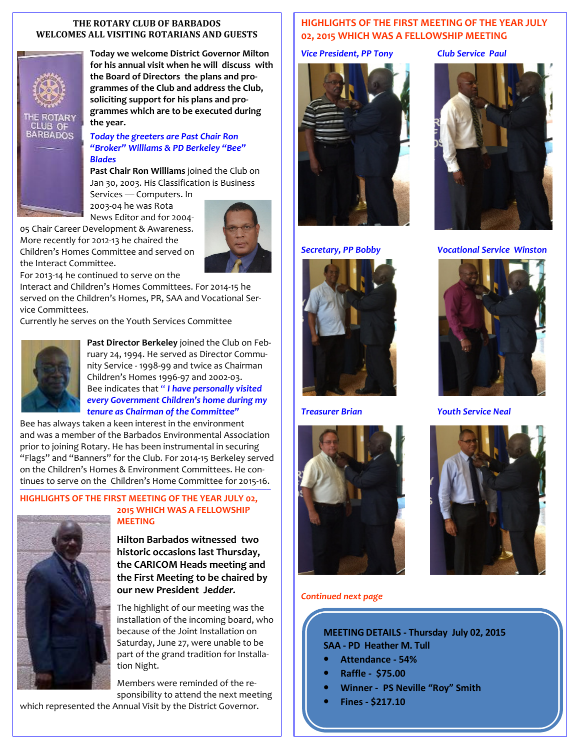#### **THE ROTARY CLUB OF BARBADOS WELCOMES ALL VISITING ROTARIANS AND GUESTS**



**Today we welcome District Governor Milton for his annual visit when he will discuss with the Board of Directors the plans and programmes of the Club and address the Club, soliciting support for his plans and programmes which are to be executed during the year.** 

#### *Today the greeters are Past Chair Ron "Broker" Williams & PD Berkeley "Bee" Blades*

**Past Chair Ron Williams** joined the Club on Jan 30, 2003. His Classification is Business Services — Computers. In

2003-04 he was Rota News Editor and for 2004- 05 Chair Career Development & Awareness.

More recently for 2012-13 he chaired the Children's Homes Committee and served on the Interact Committee.

For 2013-14 he continued to serve on the

Interact and Children's Homes Committees. For 2014-15 he served on the Children's Homes, PR, SAA and Vocational Service Committees.

Currently he serves on the Youth Services Committee



**Past Director Berkeley** joined the Club on February 24, 1994. He served as Director Community Service - 1998-99 and twice as Chairman Children's Homes 1996-97 and 2002-03. Bee indicates that " *I have personally visited every Government Children's home during my tenure as Chairman of the Committee"* 

Bee has always taken a keen interest in the environment and was a member of the Barbados Environmental Association prior to joining Rotary. He has been instrumental in securing "Flags" and "Banners" for the Club. For 2014-15 Berkeley served on the Children's Homes & Environment Committees. He continues to serve on the Children's Home Committee for 2015-16.

*—————————————————————————————————————————————————————* 

#### **HIGHLIGHTS OF THE FIRST MEETING OF THE YEAR JULY 02, 2015 WHICH WAS A FELLOWSHIP MEETING**



**Hilton Barbados witnessed two historic occasions last Thursday, the CARICOM Heads meeting and the First Meeting to be chaired by our new President Je***dder.* 

The highlight of our meeting was the installation of the incoming board, who because of the Joint Installation on Saturday, June 27, were unable to be part of the grand tradition for Installation Night.

Members were reminded of the responsibility to attend the next meeting

which represented the Annual Visit by the District Governor.

#### **HIGHLIGHTS OF THE FIRST MEETING OF THE YEAR JULY 02, 2015 WHICH WAS A FELLOWSHIP MEETING**

*Vice President, PP Tony Club Service Paul*









#### *Secretary, PP Bobby Vocational Service Winston*



*Treasurer Brian Youth Service Neal* 



#### *Continued next page*

**MEETING DETAILS - Thursday July 02, 2015 SAA - PD Heather M. Tull** 

- **Attendance 54%**
- **Raffle \$75.00**
- **Winner PS Neville "Roy" Smith**
- **Fines \$217.10**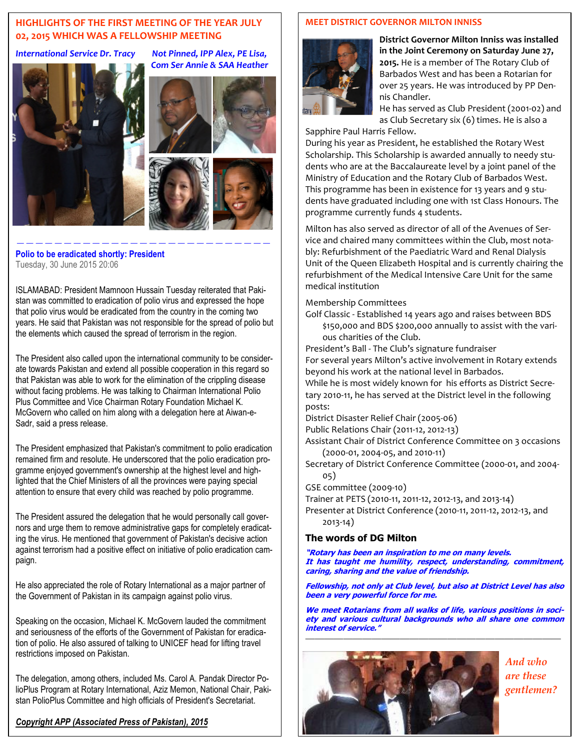#### **HIGHLIGHTS OF THE FIRST MEETING OF THE YEAR JULY 02, 2015 WHICH WAS A FELLOWSHIP MEETING**

#### *International Service Dr. Tracy Not Pinned, IPP Alex, PE Lisa,*





*Com Ser Annie & SAA Heather*



**Polio to be eradicated shortly: President**  Tuesday, 30 June 2015 20:06

ISLAMABAD: President Mamnoon Hussain Tuesday reiterated that Pakistan was committed to eradication of polio virus and expressed the hope that polio virus would be eradicated from the country in the coming two years. He said that Pakistan was not responsible for the spread of polio but the elements which caused the spread of terrorism in the region.

*———————————————————————————* 

The President also called upon the international community to be considerate towards Pakistan and extend all possible cooperation in this regard so that Pakistan was able to work for the elimination of the crippling disease without facing problems. He was talking to Chairman International Polio Plus Committee and Vice Chairman Rotary Foundation Michael K. McGovern who called on him along with a delegation here at Aiwan-e-Sadr, said a press release.

The President emphasized that Pakistan's commitment to polio eradication remained firm and resolute. He underscored that the polio eradication programme enjoyed government's ownership at the highest level and highlighted that the Chief Ministers of all the provinces were paying special attention to ensure that every child was reached by polio programme.

The President assured the delegation that he would personally call governors and urge them to remove administrative gaps for completely eradicating the virus. He mentioned that government of Pakistan's decisive action against terrorism had a positive effect on initiative of polio eradication campaign.

He also appreciated the role of Rotary International as a major partner of the Government of Pakistan in its campaign against polio virus.

Speaking on the occasion, Michael K. McGovern lauded the commitment and seriousness of the efforts of the Government of Pakistan for eradication of polio. He also assured of talking to UNICEF head for lifting travel restrictions imposed on Pakistan.

The delegation, among others, included Ms. Carol A. Pandak Director PolioPlus Program at Rotary International, Aziz Memon, National Chair, Pakistan PolioPlus Committee and high officials of President's Secretariat.

#### *Copyright APP (Associated Press of Pakistan), 2015*

#### **MEET DISTRICT GOVERNOR MILTON INNISS**



**District Governor Milton Inniss was installed in the Joint Ceremony on Saturday June 27, 2015.** He is a member of The Rotary Club of Barbados West and has been a Rotarian for over 25 years. He was introduced by PP Dennis Chandler.

He has served as Club President (2001-02) and as Club Secretary six (6) times. He is also a

Sapphire Paul Harris Fellow. During his year as President, he established the Rotary West Scholarship. This Scholarship is awarded annually to needy students who are at the Baccalaureate level by a joint panel of the Ministry of Education and the Rotary Club of Barbados West. This programme has been in existence for 13 years and 9 students have graduated including one with 1st Class Honours. The

Milton has also served as director of all of the Avenues of Service and chaired many committees within the Club, most notably: Refurbishment of the Paediatric Ward and Renal Dialysis Unit of the Queen Elizabeth Hospital and is currently chairing the refurbishment of the Medical Intensive Care Unit for the same medical institution

Membership Committees

Golf Classic - Established 14 years ago and raises between BDS \$150,000 and BDS \$200,000 annually to assist with the various charities of the Club.

President's Ball - The Club's signature fundraiser For several years Milton's active involvement in Rotary extends beyond his work at the national level in Barbados.

While he is most widely known for his efforts as District Secretary 2010-11, he has served at the District level in the following posts:

District Disaster Relief Chair (2005-06)

programme currently funds 4 students.

Public Relations Chair (2011-12, 2012-13)

Assistant Chair of District Conference Committee on 3 occasions (2000-01, 2004-05, and 2010-11)

Secretary of District Conference Committee (2000-01, and 2004- 05)

GSE committee (2009-10)

Trainer at PETS (2010-11, 2011-12, 2012-13, and 2013-14)

Presenter at District Conference (2010-11, 2011-12, 2012-13, and 2013-14)

#### **The words of DG Milton**

**"Rotary has been an inspiration to me on many levels. It has taught me humility, respect, understanding, commitment, caring, sharing and the value of friendship.** 

**Fellowship, not only at Club level, but also at District Level has also been a very powerful force for me.** 

**We meet Rotarians from all walks of life, various positions in society and various cultural backgrounds who all share one common interest of service."**  ———————————————————————————



*And who are these gentlemen?*